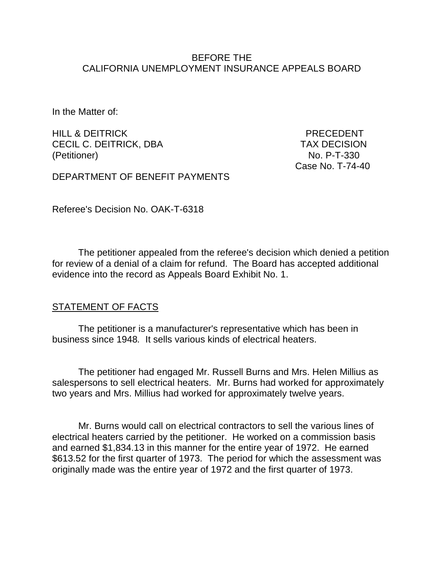#### BEFORE THE CALIFORNIA UNEMPLOYMENT INSURANCE APPEALS BOARD

In the Matter of:

HILL & DEITRICK PRECEDENT CECIL C. DEITRICK, DBA TAX DECISION (Petitioner) No. P-T-330

Case No. T-74-40

DEPARTMENT OF BENEFIT PAYMENTS

Referee's Decision No. OAK-T-6318

The petitioner appealed from the referee's decision which denied a petition for review of a denial of a claim for refund. The Board has accepted additional evidence into the record as Appeals Board Exhibit No. 1.

#### **STATEMENT OF FACTS**

The petitioner is a manufacturer's representative which has been in business since 1948*.* It sells various kinds of electrical heaters.

The petitioner had engaged Mr. Russell Burns and Mrs. Helen Millius as salespersons to sell electrical heaters. Mr. Burns had worked for approximately two years and Mrs. Millius had worked for approximately twelve years.

Mr. Burns would call on electrical contractors to sell the various lines of electrical heaters carried by the petitioner. He worked on a commission basis and earned \$1,834.13 in this manner for the entire year of 1972. He earned \$613.52 for the first quarter of 1973. The period for which the assessment was originally made was the entire year of 1972 and the first quarter of 1973.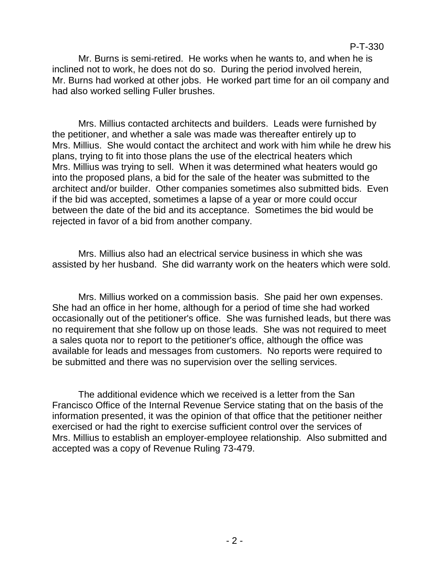Mr. Burns is semi-retired. He works when he wants to, and when he is inclined not to work, he does not do so. During the period involved herein, Mr. Burns had worked at other jobs. He worked part time for an oil company and had also worked selling Fuller brushes.

Mrs. Millius contacted architects and builders. Leads were furnished by the petitioner, and whether a sale was made was thereafter entirely up to Mrs. Millius. She would contact the architect and work with him while he drew his plans, trying to fit into those plans the use of the electrical heaters which Mrs. Millius was trying to sell. When it was determined what heaters would go into the proposed plans, a bid for the sale of the heater was submitted to the architect and/or builder. Other companies sometimes also submitted bids. Even if the bid was accepted, sometimes a lapse of a year or more could occur between the date of the bid and its acceptance. Sometimes the bid would be rejected in favor of a bid from another company.

Mrs. Millius also had an electrical service business in which she was assisted by her husband. She did warranty work on the heaters which were sold.

Mrs. Millius worked on a commission basis. She paid her own expenses. She had an office in her home, although for a period of time she had worked occasionally out of the petitioner's office. She was furnished leads, but there was no requirement that she follow up on those leads. She was not required to meet a sales quota nor to report to the petitioner's office, although the office was available for leads and messages from customers. No reports were required to be submitted and there was no supervision over the selling services.

The additional evidence which we received is a letter from the San Francisco Office of the Internal Revenue Service stating that on the basis of the information presented, it was the opinion of that office that the petitioner neither exercised or had the right to exercise sufficient control over the services of Mrs. Millius to establish an employer-employee relationship. Also submitted and accepted was a copy of Revenue Ruling 73-479.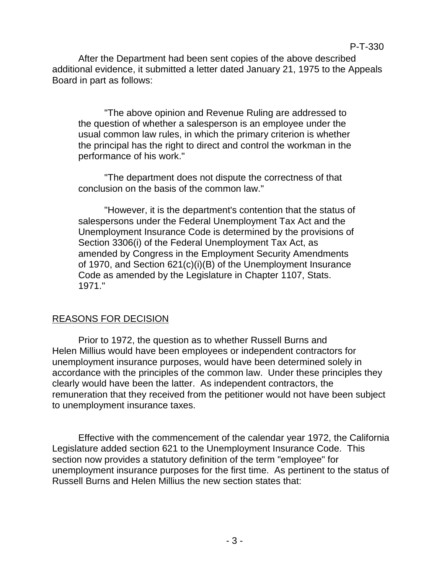After the Department had been sent copies of the above described additional evidence, it submitted a letter dated January 21, 1975 to the Appeals Board in part as follows:

"The above opinion and Revenue Ruling are addressed to the question of whether a salesperson is an employee under the usual common law rules, in which the primary criterion is whether the principal has the right to direct and control the workman in the performance of his work."

"The department does not dispute the correctness of that conclusion on the basis of the common law."

"However, it is the department's contention that the status of salespersons under the Federal Unemployment Tax Act and the Unemployment Insurance Code is determined by the provisions of Section 3306(i) of the Federal Unemployment Tax Act, as amended by Congress in the Employment Security Amendments of 1970, and Section 621(c)(i)(B) of the Unemployment Insurance Code as amended by the Legislature in Chapter 1107, Stats. 1971."

## REASONS FOR DECISION

Prior to 1972, the question as to whether Russell Burns and Helen Millius would have been employees or independent contractors for unemployment insurance purposes, would have been determined solely in accordance with the principles of the common law. Under these principles they clearly would have been the latter. As independent contractors, the remuneration that they received from the petitioner would not have been subject to unemployment insurance taxes.

Effective with the commencement of the calendar year 1972, the California Legislature added section 621 to the Unemployment Insurance Code. This section now provides a statutory definition of the term "employee" for unemployment insurance purposes for the first time. As pertinent to the status of Russell Burns and Helen Millius the new section states that: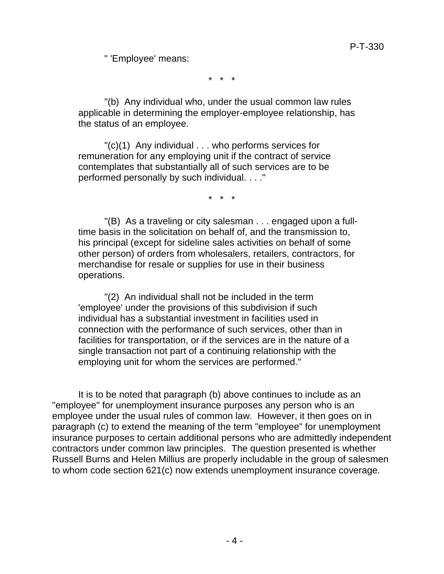" 'Employee' means:

\* \* \*

"(b) Any individual who, under the usual common law rules applicable in determining the employer-employee relationship, has the status of an employee.

"(c)(1) Any individual . . . who performs services for remuneration for any employing unit if the contract of service contemplates that substantially all of such services are to be performed personally by such individual. . . ."

\* \* \*

"(B) As a traveling or city salesman . . . engaged upon a fulltime basis in the solicitation on behalf of, and the transmission to, his principal (except for sideline sales activities on behalf of some other person) of orders from wholesalers, retailers, contractors, for merchandise for resale or supplies for use in their business operations.

"(2) An individual shall not be included in the term 'employee' under the provisions of this subdivision if such individual has a substantial investment in facilities used in connection with the performance of such services, other than in facilities for transportation, or if the services are in the nature of a single transaction not part of a continuing relationship with the employing unit for whom the services are performed."

It is to be noted that paragraph (b) above continues to include as an "employee" for unemployment insurance purposes any person who is an employee under the usual rules of common law. However, it then goes on in paragraph (c) to extend the meaning of the term "employee" for unemployment insurance purposes to certain additional persons who are admittedly independent contractors under common law principles. The question presented is whether Russell Burns and Helen Millius are properly includable in the group of salesmen to whom code section 621(c) now extends unemployment insurance coverage.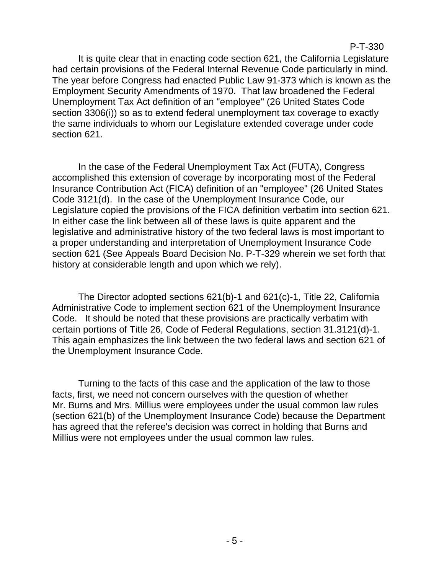P-T-330

It is quite clear that in enacting code section 621, the California Legislature had certain provisions of the Federal Internal Revenue Code particularly in mind. The year before Congress had enacted Public Law 91-373 which is known as the Employment Security Amendments of 1970. That law broadened the Federal Unemployment Tax Act definition of an "employee" (26 United States Code section 3306(i)) so as to extend federal unemployment tax coverage to exactly the same individuals to whom our Legislature extended coverage under code section 621.

In the case of the Federal Unemployment Tax Act (FUTA), Congress accomplished this extension of coverage by incorporating most of the Federal Insurance Contribution Act (FICA) definition of an "employee" (26 United States Code 3121(d). In the case of the Unemployment Insurance Code, our Legislature copied the provisions of the FICA definition verbatim into section 621. In either case the link between all of these laws is quite apparent and the legislative and administrative history of the two federal laws is most important to a proper understanding and interpretation of Unemployment Insurance Code section 621 (See Appeals Board Decision No. P-T-329 wherein we set forth that history at considerable length and upon which we rely).

The Director adopted sections 621(b)-1 and 621(c)-1, Title 22, California Administrative Code to implement section 621 of the Unemployment Insurance Code. It should be noted that these provisions are practically verbatim with certain portions of Title 26, Code of Federal Regulations, section 31.3121(d)-1. This again emphasizes the link between the two federal laws and section 621 of the Unemployment Insurance Code.

Turning to the facts of this case and the application of the law to those facts, first, we need not concern ourselves with the question of whether Mr. Burns and Mrs. Millius were employees under the usual common law rules (section 621(b) of the Unemployment Insurance Code) because the Department has agreed that the referee's decision was correct in holding that Burns and Millius were not employees under the usual common law rules.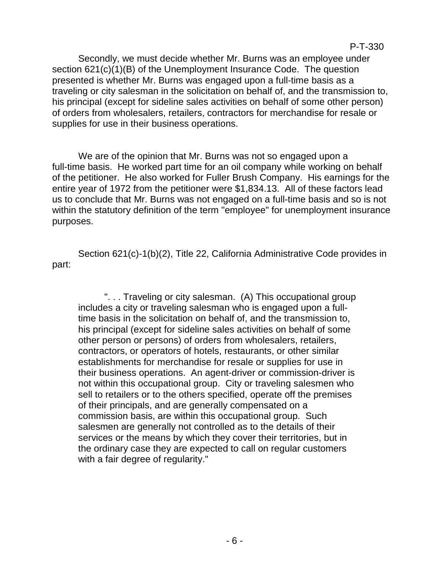Secondly, we must decide whether Mr. Burns was an employee under section 621(c)(1)(B) of the Unemployment Insurance Code. The question presented is whether Mr. Burns was engaged upon a full-time basis as a traveling or city salesman in the solicitation on behalf of, and the transmission to, his principal (except for sideline sales activities on behalf of some other person) of orders from wholesalers, retailers, contractors for merchandise for resale or supplies for use in their business operations.

We are of the opinion that Mr. Burns was not so engaged upon a full-time basis. He worked part time for an oil company while working on behalf of the petitioner. He also worked for Fuller Brush Company. His earnings for the entire year of 1972 from the petitioner were \$1,834.13. All of these factors lead us to conclude that Mr. Burns was not engaged on a full-time basis and so is not within the statutory definition of the term "employee" for unemployment insurance purposes.

Section 621(c)-1(b)(2), Title 22, California Administrative Code provides in part:

". . . Traveling or city salesman. (A) This occupational group includes a city or traveling salesman who is engaged upon a fulltime basis in the solicitation on behalf of, and the transmission to, his principal (except for sideline sales activities on behalf of some other person or persons) of orders from wholesalers, retailers, contractors, or operators of hotels, restaurants, or other similar establishments for merchandise for resale or supplies for use in their business operations. An agent-driver or commission-driver is not within this occupational group. City or traveling salesmen who sell to retailers or to the others specified, operate off the premises of their principals, and are generally compensated on a commission basis, are within this occupational group. Such salesmen are generally not controlled as to the details of their services or the means by which they cover their territories, but in the ordinary case they are expected to call on regular customers with a fair degree of regularity."